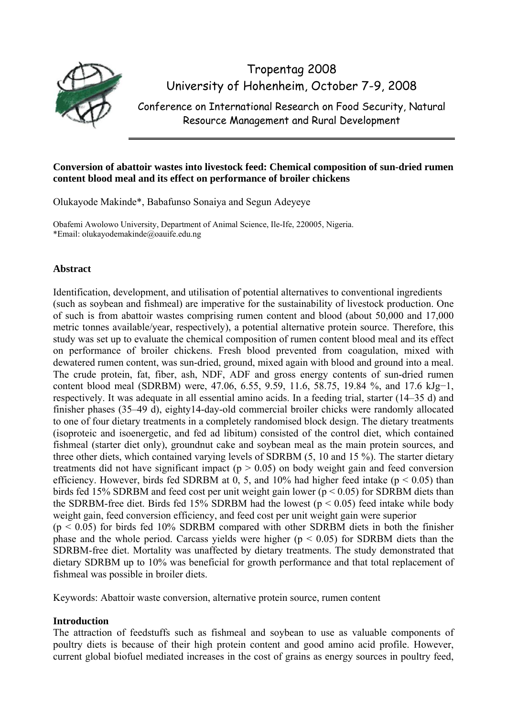

Tropentag 2008 University of Hohenheim, October 7-9, 2008 Conference on International Research on Food Security, Natural

Resource Management and Rural Development

## **Conversion of abattoir wastes into livestock feed: Chemical composition of sun-dried rumen content blood meal and its effect on performance of broiler chickens**

Olukayode Makinde\*, Babafunso Sonaiya and Segun Adeyeye

Obafemi Awolowo University, Department of Animal Science, Ile-Ife, 220005, Nigeria. \*Email: olukayodemakinde@oauife.edu.ng

# **Abstract**

Identification, development, and utilisation of potential alternatives to conventional ingredients (such as soybean and fishmeal) are imperative for the sustainability of livestock production. One of such is from abattoir wastes comprising rumen content and blood (about 50,000 and 17,000 metric tonnes available/year, respectively), a potential alternative protein source. Therefore, this study was set up to evaluate the chemical composition of rumen content blood meal and its effect on performance of broiler chickens. Fresh blood prevented from coagulation, mixed with dewatered rumen content, was sun-dried, ground, mixed again with blood and ground into a meal. The crude protein, fat, fiber, ash, NDF, ADF and gross energy contents of sun-dried rumen content blood meal (SDRBM) were, 47.06, 6.55, 9.59, 11.6, 58.75, 19.84 %, and 17.6 kJg−1, respectively. It was adequate in all essential amino acids. In a feeding trial, starter (14–35 d) and finisher phases (35–49 d), eighty14-day-old commercial broiler chicks were randomly allocated to one of four dietary treatments in a completely randomised block design. The dietary treatments (isoproteic and isoenergetic, and fed ad libitum) consisted of the control diet, which contained fishmeal (starter diet only), groundnut cake and soybean meal as the main protein sources, and three other diets, which contained varying levels of SDRBM (5, 10 and 15 %). The starter dietary treatments did not have significant impact ( $p > 0.05$ ) on body weight gain and feed conversion efficiency. However, birds fed SDRBM at 0, 5, and 10% had higher feed intake ( $p < 0.05$ ) than birds fed 15% SDRBM and feed cost per unit weight gain lower ( $p < 0.05$ ) for SDRBM diets than the SDRBM-free diet. Birds fed 15% SDRBM had the lowest ( $p < 0.05$ ) feed intake while body weight gain, feed conversion efficiency, and feed cost per unit weight gain were superior  $(p < 0.05)$  for birds fed 10% SDRBM compared with other SDRBM diets in both the finisher phase and the whole period. Carcass yields were higher ( $p < 0.05$ ) for SDRBM diets than the SDRBM-free diet. Mortality was unaffected by dietary treatments. The study demonstrated that dietary SDRBM up to 10% was beneficial for growth performance and that total replacement of fishmeal was possible in broiler diets.

Keywords: Abattoir waste conversion, alternative protein source, rumen content

# **Introduction**

The attraction of feedstuffs such as fishmeal and soybean to use as valuable components of poultry diets is because of their high protein content and good amino acid profile. However, current global biofuel mediated increases in the cost of grains as energy sources in poultry feed,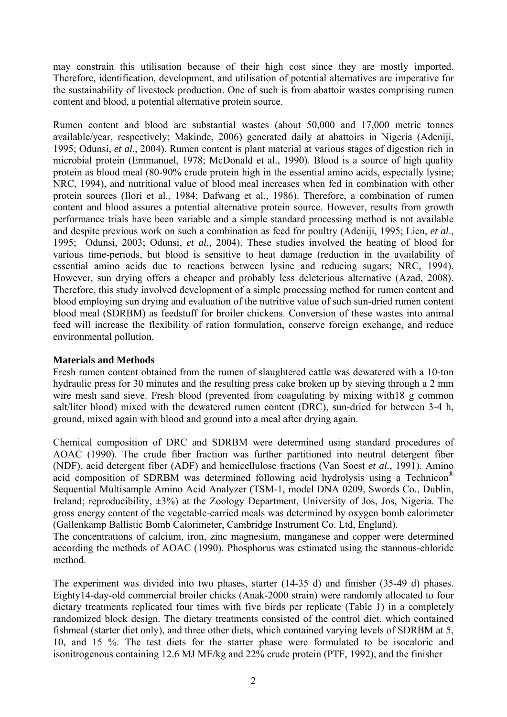may constrain this utilisation because of their high cost since they are mostly imported. Therefore, identification, development, and utilisation of potential alternatives are imperative for the sustainability of livestock production. One of such is from abattoir wastes comprising rumen content and blood, a potential alternative protein source.

Rumen content and blood are substantial wastes (about 50,000 and 17,000 metric tonnes available/year, respectively; Makinde, 2006) generated daily at abattoirs in Nigeria (Adeniji, 1995; Odunsi, *et al.*, 2004). Rumen content is plant material at various stages of digestion rich in microbial protein (Emmanuel, 1978; McDonald et al., 1990). Blood is a source of high quality protein as blood meal (80-90% crude protein high in the essential amino acids, especially lysine; NRC, 1994), and nutritional value of blood meal increases when fed in combination with other protein sources (Ilori et al., 1984; Dafwang et al., 1986). Therefore, a combination of rumen content and blood assures a potential alternative protein source. However, results from growth performance trials have been variable and a simple standard processing method is not available and despite previous work on such a combination as feed for poultry (Adeniji, 1995; Lien, *et al*., 1995; Odunsi, 2003; Odunsi, *et al.*, 2004). These studies involved the heating of blood for various time-periods, but blood is sensitive to heat damage (reduction in the availability of essential amino acids due to reactions between lysine and reducing sugars; NRC, 1994). However, sun drying offers a cheaper and probably less deleterious alternative (Azad, 2008). Therefore, this study involved development of a simple processing method for rumen content and blood employing sun drying and evaluation of the nutritive value of such sun-dried rumen content blood meal (SDRBM) as feedstuff for broiler chickens. Conversion of these wastes into animal feed will increase the flexibility of ration formulation, conserve foreign exchange, and reduce environmental pollution.

### **Materials and Methods**

Fresh rumen content obtained from the rumen of slaughtered cattle was dewatered with a 10-ton hydraulic press for 30 minutes and the resulting press cake broken up by sieving through a 2 mm wire mesh sand sieve. Fresh blood (prevented from coagulating by mixing with18 g common salt/liter blood) mixed with the dewatered rumen content (DRC), sun-dried for between 3-4 h, ground, mixed again with blood and ground into a meal after drying again.

Chemical composition of DRC and SDRBM were determined using standard procedures of AOAC (1990). The crude fiber fraction was further partitioned into neutral detergent fiber (NDF), acid detergent fiber (ADF) and hemicellulose fractions (Van Soest *et al.*, 1991). Amino acid composition of SDRBM was determined following acid hydrolysis using a Technicon® Sequential Multisample Amino Acid Analyzer (TSM-1, model DNA 0209, Swords Co., Dublin, Ireland; reproducibility,  $\pm 3\%$ ) at the Zoology Department, University of Jos, Jos, Nigeria. The gross energy content of the vegetable-carried meals was determined by oxygen bomb calorimeter (Gallenkamp Ballistic Bomb Calorimeter, Cambridge Instrument Co. Ltd, England).

The concentrations of calcium, iron, zinc magnesium, manganese and copper were determined according the methods of AOAC (1990). Phosphorus was estimated using the stannous-chloride method.

The experiment was divided into two phases, starter (14-35 d) and finisher (35-49 d) phases. Eighty14-day-old commercial broiler chicks (Anak-2000 strain) were randomly allocated to four dietary treatments replicated four times with five birds per replicate (Table 1) in a completely randomized block design. The dietary treatments consisted of the control diet, which contained fishmeal (starter diet only), and three other diets, which contained varying levels of SDRBM at 5, 10, and 15 %. The test diets for the starter phase were formulated to be isocaloric and isonitrogenous containing 12.6 MJ ME/kg and 22% crude protein (PTF, 1992), and the finisher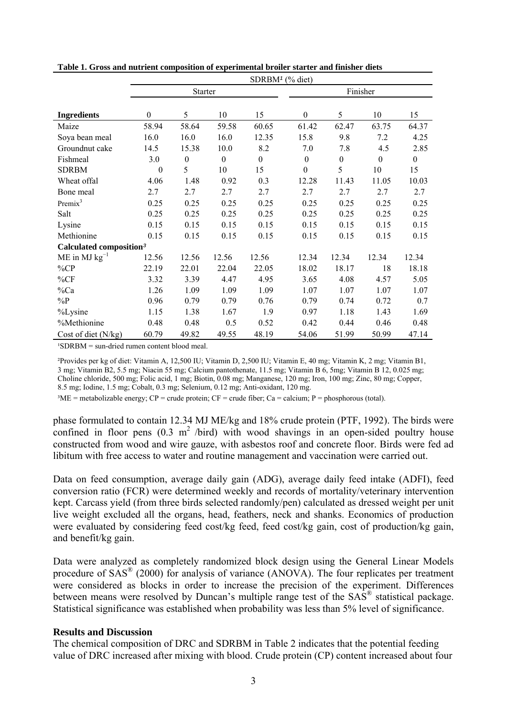|                                     | SDRBM <sup>1</sup> (% diet) |                  |                  |                  |                  |                  |                  |                  |  |  |  |  |
|-------------------------------------|-----------------------------|------------------|------------------|------------------|------------------|------------------|------------------|------------------|--|--|--|--|
|                                     |                             | <b>Starter</b>   |                  |                  |                  | Finisher         |                  |                  |  |  |  |  |
| <b>Ingredients</b>                  | $\boldsymbol{0}$            | 5                | 10               | 15               | $\boldsymbol{0}$ | 5                | 10               | 15               |  |  |  |  |
| Maize                               | 58.94                       | 58.64            | 59.58            | 60.65            | 61.42            | 62.47            | 63.75            | 64.37            |  |  |  |  |
| Soya bean meal                      | 16.0                        | 16.0             | 16.0             | 12.35            | 15.8             | 9.8              | 7.2              | 4.25             |  |  |  |  |
| Groundnut cake                      | 14.5                        | 15.38            | 10.0             | 8.2              | 7.0              | 7.8              | 4.5              | 2.85             |  |  |  |  |
| Fishmeal                            | 3.0                         | $\boldsymbol{0}$ | $\boldsymbol{0}$ | $\boldsymbol{0}$ | $\boldsymbol{0}$ | $\boldsymbol{0}$ | $\boldsymbol{0}$ | $\boldsymbol{0}$ |  |  |  |  |
| <b>SDRBM</b>                        | $\mathbf{0}$                | 5                | 10               | 15               | $\boldsymbol{0}$ | 5                | 10               | 15               |  |  |  |  |
| Wheat offal                         | 4.06                        | 1.48             | 0.92             | 0.3              | 12.28            | 11.43            | 11.05            | 10.03            |  |  |  |  |
| Bone meal                           | 2.7                         | 2.7              | 2.7              | 2.7              | 2.7              | 2.7              | 2.7              | 2.7              |  |  |  |  |
| Premix $3$                          | 0.25                        | 0.25             | 0.25             | 0.25             | 0.25             | 0.25             | 0.25             | 0.25             |  |  |  |  |
| Salt                                | 0.25                        | 0.25             | 0.25             | 0.25             | 0.25             | 0.25             | 0.25             | 0.25             |  |  |  |  |
| Lysine                              | 0.15                        | 0.15             | 0.15             | 0.15             | 0.15             | 0.15             | 0.15             | 0.15             |  |  |  |  |
| Methionine                          | 0.15                        | 0.15             | 0.15             | 0.15             | 0.15             | 0.15             | 0.15             | 0.15             |  |  |  |  |
| Calculated composition <sup>3</sup> |                             |                  |                  |                  |                  |                  |                  |                  |  |  |  |  |
| $ME$ in MJ $kg^{-1}$                | 12.56                       | 12.56            | 12.56            | 12.56            | 12.34            | 12.34            | 12.34            | 12.34            |  |  |  |  |
| $\%CP$                              | 22.19                       | 22.01            | 22.04            | 22.05            | 18.02            | 18.17            | 18               | 18.18            |  |  |  |  |
| %CF                                 | 3.32                        | 3.39             | 4.47             | 4.95             | 3.65             | 4.08             | 4.57             | 5.05             |  |  |  |  |
| $\%Ca$                              | 1.26                        | 1.09             | 1.09             | 1.09             | 1.07             | 1.07             | 1.07             | 1.07             |  |  |  |  |
| $\%P$                               | 0.96                        | 0.79             | 0.79             | 0.76             | 0.79             | 0.74             | 0.72             | 0.7              |  |  |  |  |
| %Lysine                             | 1.15                        | 1.38             | 1.67             | 1.9              | 0.97             | 1.18             | 1.43             | 1.69             |  |  |  |  |
| %Methionine                         | 0.48                        | 0.48             | 0.5              | 0.52             | 0.42             | 0.44             | 0.46             | 0.48             |  |  |  |  |
| Cost of diet (N/kg)                 | 60.79                       | 49.82            | 49.55            | 48.19            | 54.06            | 51.99            | 50.99            | 47.14            |  |  |  |  |

**Table 1. Gross and nutrient composition of experimental broiler starter and finisher diets** 

 ${}^{1}$ SDRBM = sun-dried rumen content blood meal.

²Provides per kg of diet: Vitamin A, 12,500 IU; Vitamin D, 2,500 IU; Vitamin E, 40 mg; Vitamin K, 2 mg; Vitamin B1, 3 mg; Vitamin B2, 5.5 mg; Niacin 55 mg; Calcium pantothenate, 11.5 mg; Vitamin B 6, 5mg; Vitamin B 12, 0.025 mg; Choline chloride, 500 mg; Folic acid, 1 mg; Biotin, 0.08 mg; Manganese, 120 mg; Iron, 100 mg; Zinc, 80 mg; Copper, 8.5 mg; Iodine, 1.5 mg; Cobalt, 0.3 mg; Selenium, 0.12 mg; Anti-oxidant, 120 mg.

 ${}^{3}$ ME = metabolizable energy; CP = crude protein; CF = crude fiber; Ca = calcium; P = phosphorous (total).

phase formulated to contain 12.34 MJ ME/kg and 18% crude protein (PTF, 1992). The birds were confined in floor pens  $(0.3 \text{ m}^2$  /bird) with wood shavings in an open-sided poultry house constructed from wood and wire gauze, with asbestos roof and concrete floor. Birds were fed ad libitum with free access to water and routine management and vaccination were carried out.

Data on feed consumption, average daily gain (ADG), average daily feed intake (ADFI), feed conversion ratio (FCR) were determined weekly and records of mortality/veterinary intervention kept. Carcass yield (from three birds selected randomly/pen) calculated as dressed weight per unit live weight excluded all the organs, head, feathers, neck and shanks. Economics of production were evaluated by considering feed cost/kg feed, feed cost/kg gain, cost of production/kg gain, and benefit/kg gain.

Data were analyzed as completely randomized block design using the General Linear Models procedure of SAS® (2000) for analysis of variance (ANOVA). The four replicates per treatment were considered as blocks in order to increase the precision of the experiment. Differences between means were resolved by Duncan's multiple range test of the SAS<sup>®</sup> statistical package. Statistical significance was established when probability was less than 5% level of significance.

#### **Results and Discussion**

The chemical composition of DRC and SDRBM in Table 2 indicates that the potential feeding value of DRC increased after mixing with blood. Crude protein (CP) content increased about four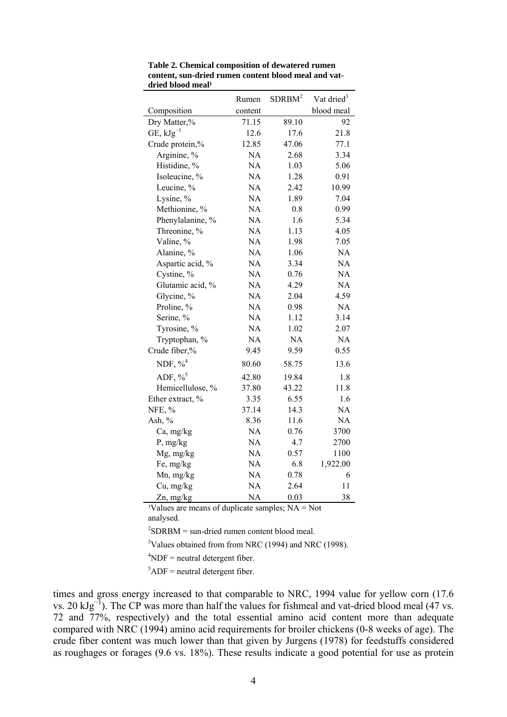|                    | Rumen     | SDRBM <sup>2</sup> | Vat dried <sup>3</sup> |  |  |
|--------------------|-----------|--------------------|------------------------|--|--|
| Composition        | content   |                    | blood meal             |  |  |
| Dry Matter,%       | 71.15     | 89.10              | 92                     |  |  |
| $GE, kJg^{-1}$     | 12.6      | 17.6               | 21.8                   |  |  |
| Crude protein,%    | 12.85     | 47.06              | 77.1                   |  |  |
| Arginine, %        | <b>NA</b> | 2.68               | 3.34                   |  |  |
| Histidine, %       | NA        | 1.03               | 5.06                   |  |  |
| Isoleucine, %      | <b>NA</b> | 1.28               | 0.91                   |  |  |
| Leucine, %         | <b>NA</b> | 2.42               | 10.99                  |  |  |
| Lysine, %          | NA        | 1.89               | 7.04                   |  |  |
| Methionine, %      | <b>NA</b> | 0.8                | 0.99                   |  |  |
| Phenylalanine, %   | <b>NA</b> | 1.6                | 5.34                   |  |  |
| Threonine, %       | NA        | 1.13               | 4.05                   |  |  |
| Valine, %          | <b>NA</b> | 1.98               | 7.05                   |  |  |
| Alanine, %         | <b>NA</b> | 1.06               | <b>NA</b>              |  |  |
| Aspartic acid, %   | NA        | 3.34               | NA                     |  |  |
| Cystine, %         | NA        | 0.76               | NA                     |  |  |
| Glutamic acid, %   | <b>NA</b> | 4.29               | <b>NA</b>              |  |  |
| Glycine, %         | NA        | 2.04               | 4.59                   |  |  |
| Proline, %         | <b>NA</b> | 0.98               | <b>NA</b>              |  |  |
| Serine, %          | <b>NA</b> | 1.12               | 3.14                   |  |  |
| Tyrosine, %        | NA        | 1.02               | 2.07                   |  |  |
| Tryptophan, %      | NA        | NA                 | NA                     |  |  |
| Crude fiber,%      | 9.45      | 9.59               | 0.55                   |  |  |
| NDF, $\%^4$        | 80.60     | 58.75              | 13.6                   |  |  |
| ADF, $\frac{9}{5}$ | 42.80     | 19.84              | 1.8                    |  |  |
| Hemicellulose, %   | 37.80     | 43.22              | 11.8                   |  |  |
| Ether extract, %   | 3.35      | 6.55               | 1.6                    |  |  |
| NFE, %             | 37.14     | 14.3               | <b>NA</b>              |  |  |
| Ash, %             | 8.36      | 11.6               | NA                     |  |  |
| Ca, mg/kg          | NA        | 0.76               | 3700                   |  |  |
| $P$ , mg/kg        | NA        | 4.7                | 2700                   |  |  |
| Mg, mg/kg          | <b>NA</b> | 0.57               | 1100                   |  |  |
| Fe, mg/kg          | NA        | 6.8                | 1,922.00               |  |  |
| Mn, mg/kg          | NA        | 0.78               | 6                      |  |  |
| Cu, mg/kg          | <b>NA</b> | 2.64               | 11                     |  |  |
| Zn, mg/kg          | <b>NA</b> | 0.03               | 38                     |  |  |

**Table 2. Chemical composition of dewatered rumen content, sun-dried rumen content blood meal and vat**dried blood meal<sup>1</sup>

<sup>1</sup>Values are means of duplicate samples;  $NA = Not$ analysed.

 ${}^{2}$ SDRBM = sun-dried rumen content blood meal.

 $3$ Values obtained from from NRC (1994) and NRC (1998).

 ${}^{4}$ NDF = neutral detergent fiber.

 ${}^{5}$ ADF = neutral detergent fiber.

times and gross energy increased to that comparable to NRC, 1994 value for yellow corn (17.6 vs. 20  $kJg^{-1}$ ). The CP was more than half the values for fishmeal and vat-dried blood meal (47 vs. 72 and 77%, respectively) and the total essential amino acid content more than adequate compared with NRC (1994) amino acid requirements for broiler chickens (0-8 weeks of age). The crude fiber content was much lower than that given by Jurgens (1978) for feedstuffs considered as roughages or forages (9.6 vs. 18%). These results indicate a good potential for use as protein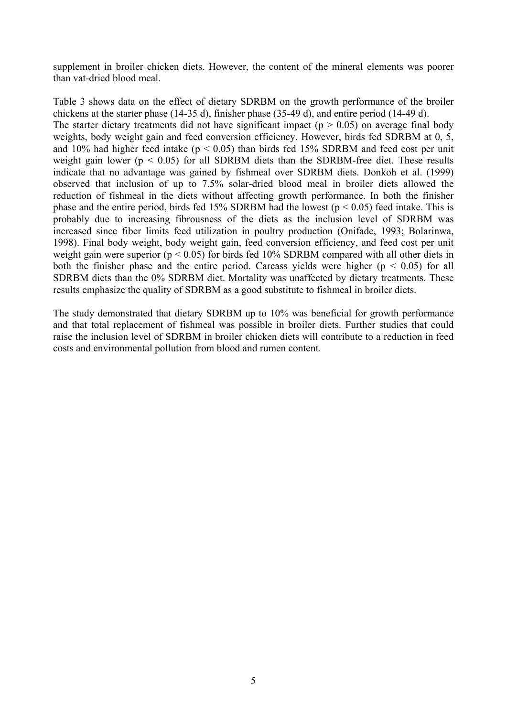supplement in broiler chicken diets. However, the content of the mineral elements was poorer than vat-dried blood meal.

Table 3 shows data on the effect of dietary SDRBM on the growth performance of the broiler chickens at the starter phase (14-35 d), finisher phase (35-49 d), and entire period (14-49 d). The starter dietary treatments did not have significant impact ( $p > 0.05$ ) on average final body weights, body weight gain and feed conversion efficiency. However, birds fed SDRBM at 0, 5, and 10% had higher feed intake ( $p < 0.05$ ) than birds fed 15% SDRBM and feed cost per unit weight gain lower ( $p < 0.05$ ) for all SDRBM diets than the SDRBM-free diet. These results indicate that no advantage was gained by fishmeal over SDRBM diets. Donkoh et al. (1999) observed that inclusion of up to 7.5% solar-dried blood meal in broiler diets allowed the reduction of fishmeal in the diets without affecting growth performance. In both the finisher phase and the entire period, birds fed 15% SDRBM had the lowest ( $p < 0.05$ ) feed intake. This is probably due to increasing fibrousness of the diets as the inclusion level of SDRBM was increased since fiber limits feed utilization in poultry production (Onifade, 1993; Bolarinwa, 1998). Final body weight, body weight gain, feed conversion efficiency, and feed cost per unit weight gain were superior ( $p < 0.05$ ) for birds fed 10% SDRBM compared with all other diets in both the finisher phase and the entire period. Carcass yields were higher ( $p < 0.05$ ) for all SDRBM diets than the 0% SDRBM diet. Mortality was unaffected by dietary treatments. These results emphasize the quality of SDRBM as a good substitute to fishmeal in broiler diets.

The study demonstrated that dietary SDRBM up to 10% was beneficial for growth performance and that total replacement of fishmeal was possible in broiler diets. Further studies that could raise the inclusion level of SDRBM in broiler chicken diets will contribute to a reduction in feed costs and environmental pollution from blood and rumen content.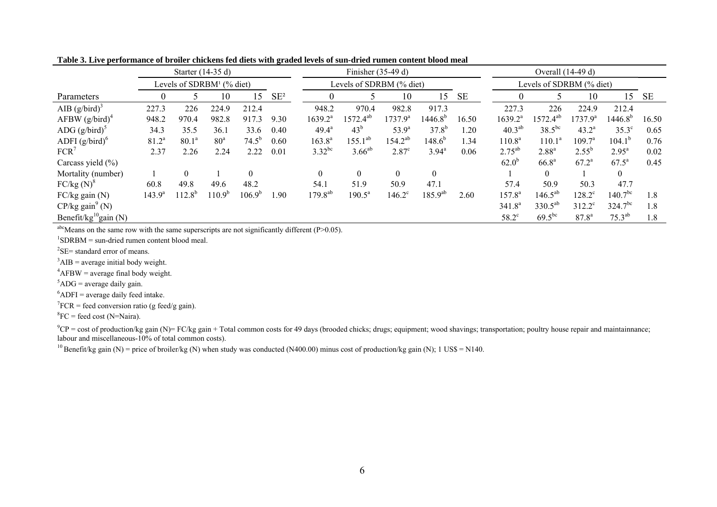| $F1 = F1 + F2 + F3 + F4$          |                                       |                   |                 |            |                          |                     |                 |                   |                  |                          |                    |                   |                    |                     |       |
|-----------------------------------|---------------------------------------|-------------------|-----------------|------------|--------------------------|---------------------|-----------------|-------------------|------------------|--------------------------|--------------------|-------------------|--------------------|---------------------|-------|
|                                   | Starter (14-35 d)                     |                   |                 |            |                          | Finisher $(35-49d)$ |                 |                   |                  | Overall (14-49 d)        |                    |                   |                    |                     |       |
|                                   | Levels of SDRBM <sup>1</sup> (% diet) |                   |                 |            | Levels of SDRBM (% diet) |                     |                 |                   |                  | Levels of SDRBM (% diet) |                    |                   |                    |                     |       |
| Parameters                        | $\theta$                              |                   | 10              | 15         | $SE^2$                   |                     |                 | 10                | 15               | SE                       | $\theta$           |                   | 10                 | 15                  | SE    |
| AIB $(g/bird)^3$                  | 227.3                                 | 226               | 224.9           | 212.4      |                          | 948.2               | 970.4           | 982.8             | 917.3            |                          | 227.3              | 226               | 224.9              | 212.4               |       |
| AFBW $(g/bird)^4$                 | 948.2                                 | 970.4             | 982.8           | 917.3      | 9.30                     | $1639.2^a$          | $1572.4^{ab}$   | $1737.9^{\circ}$  | $1446.8^{b}$     | 16.50                    | $1639.2^a$         | $1572.4^{ab}$     | $1737.9^a$         | 1446.8 <sup>b</sup> | 16.50 |
| ADG $(g/bird)^5$                  | 34.3                                  | 35.5              | 36.1            | 33.6       | 0.40                     | $49.4^{\circ}$      | 43 <sup>b</sup> | $53.9^{a}$        | $37.8^{b}$       | 1.20                     | $40.3^{ab}$        | $38.5^{bc}$       | $43.2^{\rm a}$     | $35.3^\circ$        | 0.65  |
| ADFI $(g/bird)^6$                 | $81.2^a$                              | 80.1 <sup>a</sup> | 80 <sup>a</sup> | $74.5^{b}$ | 0.60                     | $163.8^{a}$         | $155.1^{ab}$    | $154.2^{ab}$      | $148.6^{b}$      | 1.34                     | 110.8 <sup>a</sup> | $110.1^a$         | 109.7 <sup>a</sup> | $104.1^{b}$         | 0.76  |
| $FCR^7$                           | 2.37                                  | 2.26              | 2.24            | 2.22       | 0.01                     | $3.32^{bc}$         | $3.66^{ab}$     | 2.87 <sup>c</sup> | $3.94^{\circ}$   | 0.06                     | $2.75^{ab}$        | $2.88^{a}$        | $2.55^{b}$         | $2.95^{\rm a}$      | 0.02  |
| Carcass yield (%)                 |                                       |                   |                 |            |                          |                     |                 |                   |                  |                          | $62.0^{b}$         | 66.8 <sup>a</sup> | $67.2^a$           | $67.5^{\circ}$      | 0.45  |
| Mortality (number)                |                                       | $\theta$          |                 | $\theta$   |                          | $\boldsymbol{0}$    | $\theta$        | $\theta$          | $\boldsymbol{0}$ |                          |                    | $\theta$          |                    | $\theta$            |       |
| $FC/kg(N)^8$                      | 60.8                                  | 49.8              | 49.6            | 48.2       |                          | 54.1                | 51.9            | 50.9              | 47.1             |                          | 57.4               | 50.9              | 50.3               | 47.7                |       |
| $FC/kg$ gain $(N)$                | $143.9^{a}$                           | $112.8^{b}$       | $110.9^{b}$     | $106.9^b$  | 1.90                     | $179.8^{ab}$        | $190.5^a$       | $146.2^{\circ}$   | $185.9^{ab}$     | 2.60                     | $157.8^{\circ}$    | $146.5^{ab}$      | $128.2^{\circ}$    | $140.7^{bc}$        | 1.8   |
| $CP/kg$ gain <sup>9</sup> (N)     |                                       |                   |                 |            |                          |                     |                 |                   |                  |                          | 341.8 <sup>a</sup> | $330.5^{ab}$      | $312.2^{\circ}$    | $324.7^{bc}$        | 1.8   |
| Benefit/kg <sup>10</sup> gain (N) |                                       |                   |                 |            |                          |                     |                 |                   |                  |                          | $58.2^{\circ}$     | $69.5^{bc}$       | $87.8^{a}$         | $75.3^{ab}$         | 1.8   |

**Table 3. Live performance of broiler chickens fed diets with graded levels of sun-dried rumen content blood meal** 

<sup>abc</sup>Means on the same row with the same superscripts are not significantly different (P>0.05). <sup>1</sup>SDRBM = sun-dried rumen content blood meal.

 ${}^{2}$ SE= standard error of means.

 ${}^{3}$ AIB = average initial body weight.

 ${}^{4}$ AFBW = average final body weight.

 ${}^{5}$ ADG = average daily gain.

 $6$ ADFI = average daily feed intake.

 ${}^{7}FCR$  = feed conversion ratio (g feed/g gain).

 ${}^{8}FC$  = feed cost (N=Naira).

 $^9$ CP = cost of production/kg gain (N)= FC/kg gain + Total common costs for 49 days (brooded chicks; drugs; equipment; wood shavings; transportation; poultry house repair and maintainnance; labour and miscellaneous-10% of total common costs).

<sup>10</sup> Benefit/kg gain (N) = price of broiler/kg (N) when study was conducted (N400.00) minus cost of production/kg gain (N); 1 US\$ = N140.